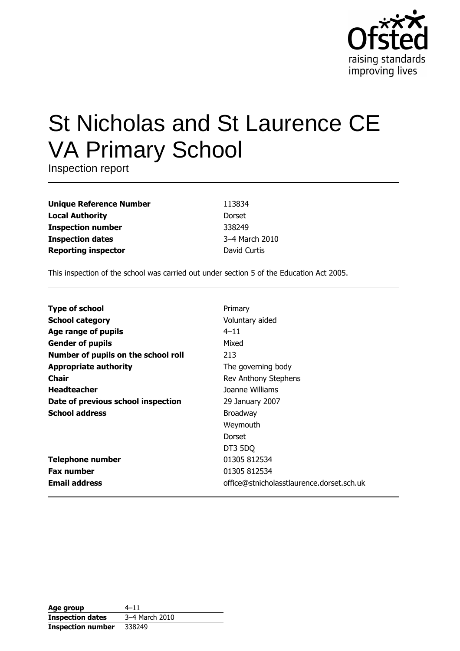

# St Nicholas and St Laurence CE **VA Primary School**

Inspection report

| <b>Unique Reference Number</b> |
|--------------------------------|
| <b>Local Authority</b>         |
| <b>Inspection number</b>       |
| <b>Inspection dates</b>        |
| <b>Reporting inspector</b>     |

113834 Dorset 338249 3-4 March 2010 David Curtis

This inspection of the school was carried out under section 5 of the Education Act 2005.

| <b>Type of school</b>               | Primary                                   |
|-------------------------------------|-------------------------------------------|
| <b>School category</b>              | Voluntary aided                           |
| Age range of pupils                 | $4 - 11$                                  |
| <b>Gender of pupils</b>             | Mixed                                     |
| Number of pupils on the school roll | 213                                       |
| <b>Appropriate authority</b>        | The governing body                        |
| <b>Chair</b>                        | Rev Anthony Stephens                      |
| <b>Headteacher</b>                  | Joanne Williams                           |
| Date of previous school inspection  | 29 January 2007                           |
| <b>School address</b>               | <b>Broadway</b>                           |
|                                     | Weymouth                                  |
|                                     | Dorset                                    |
|                                     | DT3 5DQ                                   |
| <b>Telephone number</b>             | 01305 812534                              |
| <b>Fax number</b>                   | 01305 812534                              |
| <b>Email address</b>                | office@stnicholasstlaurence.dorset.sch.uk |

| Age group                | $4 - 11$       |
|--------------------------|----------------|
| <b>Inspection dates</b>  | 3-4 March 2010 |
| <b>Inspection number</b> | 338249         |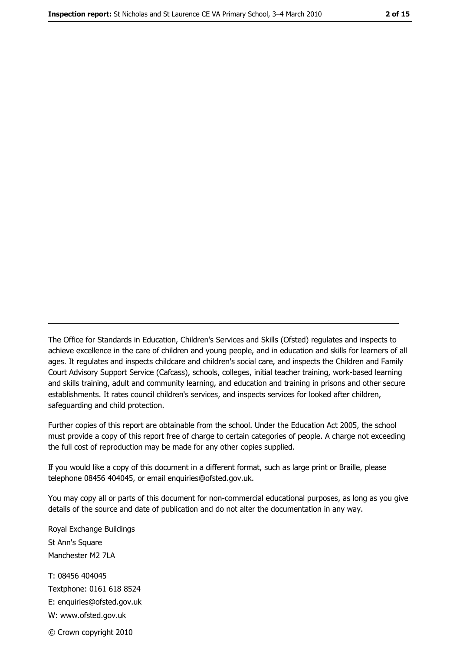The Office for Standards in Education, Children's Services and Skills (Ofsted) regulates and inspects to achieve excellence in the care of children and young people, and in education and skills for learners of all ages. It regulates and inspects childcare and children's social care, and inspects the Children and Family Court Advisory Support Service (Cafcass), schools, colleges, initial teacher training, work-based learning and skills training, adult and community learning, and education and training in prisons and other secure establishments. It rates council children's services, and inspects services for looked after children, safequarding and child protection.

Further copies of this report are obtainable from the school. Under the Education Act 2005, the school must provide a copy of this report free of charge to certain categories of people. A charge not exceeding the full cost of reproduction may be made for any other copies supplied.

If you would like a copy of this document in a different format, such as large print or Braille, please telephone 08456 404045, or email enquiries@ofsted.gov.uk.

You may copy all or parts of this document for non-commercial educational purposes, as long as you give details of the source and date of publication and do not alter the documentation in any way.

Royal Exchange Buildings St Ann's Square Manchester M2 7LA T: 08456 404045 Textphone: 0161 618 8524 E: enquiries@ofsted.gov.uk W: www.ofsted.gov.uk © Crown copyright 2010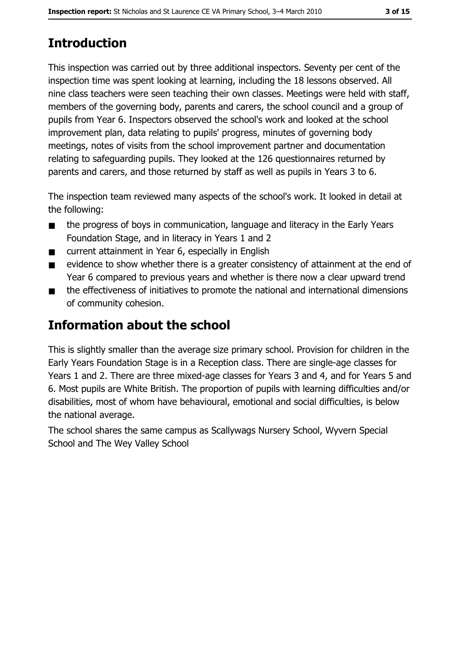# **Introduction**

This inspection was carried out by three additional inspectors. Seventy per cent of the inspection time was spent looking at learning, including the 18 lessons observed. All nine class teachers were seen teaching their own classes. Meetings were held with staff, members of the governing body, parents and carers, the school council and a group of pupils from Year 6. Inspectors observed the school's work and looked at the school improvement plan, data relating to pupils' progress, minutes of governing body meetings, notes of visits from the school improvement partner and documentation relating to safeguarding pupils. They looked at the 126 questionnaires returned by parents and carers, and those returned by staff as well as pupils in Years 3 to 6.

The inspection team reviewed many aspects of the school's work. It looked in detail at the following:

- the progress of boys in communication, language and literacy in the Early Years  $\blacksquare$ Foundation Stage, and in literacy in Years 1 and 2
- current attainment in Year 6, especially in English  $\blacksquare$
- evidence to show whether there is a greater consistency of attainment at the end of  $\blacksquare$ Year 6 compared to previous years and whether is there now a clear upward trend
- the effectiveness of initiatives to promote the national and international dimensions  $\blacksquare$ of community cohesion.

# **Information about the school**

This is slightly smaller than the average size primary school. Provision for children in the Early Years Foundation Stage is in a Reception class. There are single-age classes for Years 1 and 2. There are three mixed-age classes for Years 3 and 4, and for Years 5 and 6. Most pupils are White British. The proportion of pupils with learning difficulties and/or disabilities, most of whom have behavioural, emotional and social difficulties, is below the national average.

The school shares the same campus as Scallywags Nursery School, Wyvern Special School and The Wey Valley School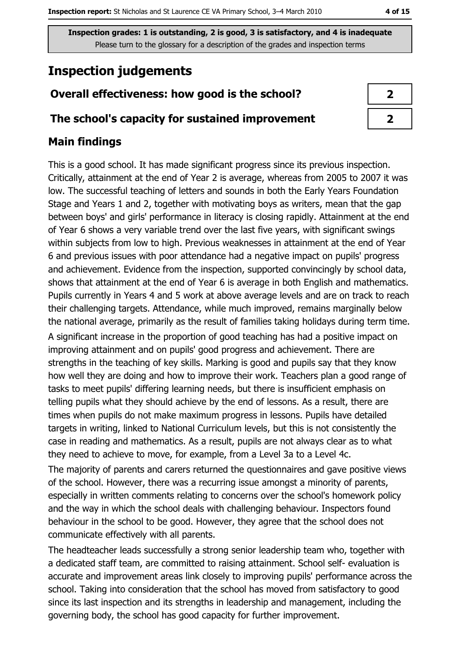# **Inspection judgements**

**Main findings** 

## Overall effectiveness: how good is the school?

## The school's capacity for sustained improvement

# This is a good school. It has made significant progress since its previous inspection. Critically, attainment at the end of Year 2 is average, whereas from 2005 to 2007 it was low. The successful teaching of letters and sounds in both the Early Years Foundation Stage and Years 1 and 2, together with motivating boys as writers, mean that the gap

between boys' and girls' performance in literacy is closing rapidly. Attainment at the end of Year 6 shows a very variable trend over the last five years, with significant swings within subjects from low to high. Previous weaknesses in attainment at the end of Year 6 and previous issues with poor attendance had a negative impact on pupils' progress and achievement. Evidence from the inspection, supported convincingly by school data, shows that attainment at the end of Year 6 is average in both English and mathematics. Pupils currently in Years 4 and 5 work at above average levels and are on track to reach their challenging targets. Attendance, while much improved, remains marginally below the national average, primarily as the result of families taking holidays during term time.

A significant increase in the proportion of good teaching has had a positive impact on improving attainment and on pupils' good progress and achievement. There are strengths in the teaching of key skills. Marking is good and pupils say that they know how well they are doing and how to improve their work. Teachers plan a good range of tasks to meet pupils' differing learning needs, but there is insufficient emphasis on telling pupils what they should achieve by the end of lessons. As a result, there are times when pupils do not make maximum progress in lessons. Pupils have detailed targets in writing, linked to National Curriculum levels, but this is not consistently the case in reading and mathematics. As a result, pupils are not always clear as to what they need to achieve to move, for example, from a Level 3a to a Level 4c.

The majority of parents and carers returned the questionnaires and gave positive views of the school. However, there was a recurring issue amongst a minority of parents, especially in written comments relating to concerns over the school's homework policy and the way in which the school deals with challenging behaviour. Inspectors found behaviour in the school to be good. However, they agree that the school does not communicate effectively with all parents.

The headteacher leads successfully a strong senior leadership team who, together with a dedicated staff team, are committed to raising attainment. School self-evaluation is accurate and improvement areas link closely to improving pupils' performance across the school. Taking into consideration that the school has moved from satisfactory to good since its last inspection and its strengths in leadership and management, including the governing body, the school has good capacity for further improvement.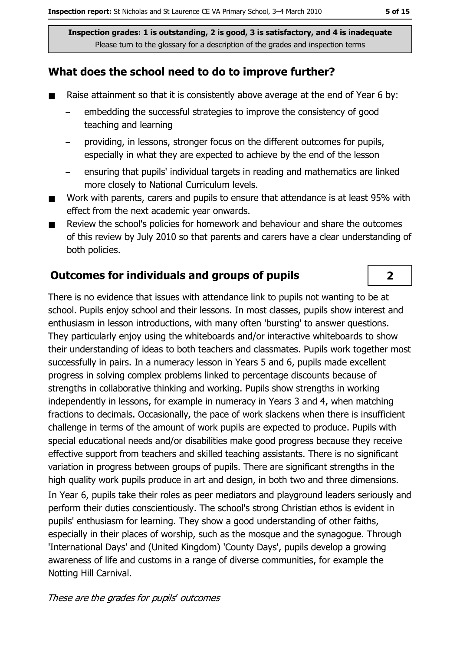### What does the school need to do to improve further?

- $\blacksquare$ Raise attainment so that it is consistently above average at the end of Year 6 by:
	- embedding the successful strategies to improve the consistency of good teaching and learning
	- providing, in lessons, stronger focus on the different outcomes for pupils, especially in what they are expected to achieve by the end of the lesson
	- ensuring that pupils' individual targets in reading and mathematics are linked more closely to National Curriculum levels.
- $\blacksquare$ Work with parents, carers and pupils to ensure that attendance is at least 95% with effect from the next academic year onwards.
- Review the school's policies for homework and behaviour and share the outcomes  $\blacksquare$ of this review by July 2010 so that parents and carers have a clear understanding of both policies.

#### **Outcomes for individuals and groups of pupils**

There is no evidence that issues with attendance link to pupils not wanting to be at school. Pupils enjoy school and their lessons. In most classes, pupils show interest and enthusiasm in lesson introductions, with many often 'bursting' to answer questions. They particularly enjoy using the whiteboards and/or interactive whiteboards to show their understanding of ideas to both teachers and classmates. Pupils work together most successfully in pairs. In a numeracy lesson in Years 5 and 6, pupils made excellent progress in solving complex problems linked to percentage discounts because of strengths in collaborative thinking and working. Pupils show strengths in working independently in lessons, for example in numeracy in Years 3 and 4, when matching fractions to decimals. Occasionally, the pace of work slackens when there is insufficient challenge in terms of the amount of work pupils are expected to produce. Pupils with special educational needs and/or disabilities make good progress because they receive effective support from teachers and skilled teaching assistants. There is no significant variation in progress between groups of pupils. There are significant strengths in the high quality work pupils produce in art and design, in both two and three dimensions. In Year 6, pupils take their roles as peer mediators and playground leaders seriously and perform their duties conscientiously. The school's strong Christian ethos is evident in

pupils' enthusiasm for learning. They show a good understanding of other faiths, especially in their places of worship, such as the mosque and the synagogue. Through 'International Days' and (United Kingdom) 'County Days', pupils develop a growing awareness of life and customs in a range of diverse communities, for example the Notting Hill Carnival.

#### These are the grades for pupils' outcomes

 $\overline{2}$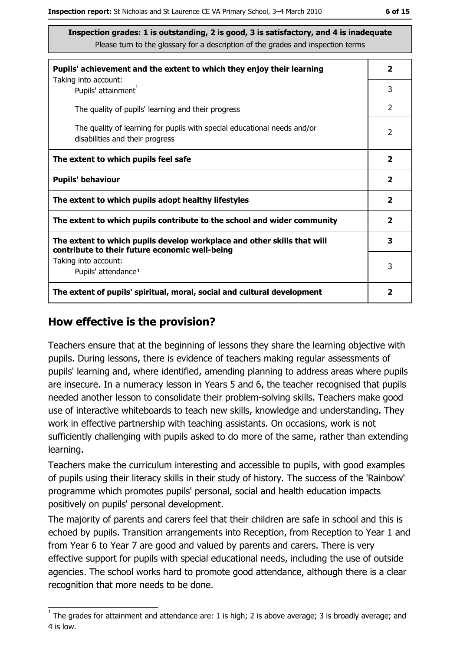| Pupils' achievement and the extent to which they enjoy their learning                                                     |                |  |  |
|---------------------------------------------------------------------------------------------------------------------------|----------------|--|--|
| Taking into account:<br>Pupils' attainment <sup>1</sup>                                                                   | 3              |  |  |
| The quality of pupils' learning and their progress                                                                        | $\overline{2}$ |  |  |
| The quality of learning for pupils with special educational needs and/or<br>disabilities and their progress               |                |  |  |
| The extent to which pupils feel safe                                                                                      |                |  |  |
| <b>Pupils' behaviour</b>                                                                                                  |                |  |  |
| The extent to which pupils adopt healthy lifestyles                                                                       |                |  |  |
| The extent to which pupils contribute to the school and wider community                                                   |                |  |  |
| The extent to which pupils develop workplace and other skills that will<br>contribute to their future economic well-being |                |  |  |
| Taking into account:<br>Pupils' attendance <sup>1</sup>                                                                   |                |  |  |
| The extent of pupils' spiritual, moral, social and cultural development                                                   |                |  |  |

#### How effective is the provision?

Teachers ensure that at the beginning of lessons they share the learning objective with pupils. During lessons, there is evidence of teachers making regular assessments of pupils' learning and, where identified, amending planning to address areas where pupils are insecure. In a numeracy lesson in Years 5 and 6, the teacher recognised that pupils needed another lesson to consolidate their problem-solving skills. Teachers make good use of interactive whiteboards to teach new skills, knowledge and understanding. They work in effective partnership with teaching assistants. On occasions, work is not sufficiently challenging with pupils asked to do more of the same, rather than extending learning.

Teachers make the curriculum interesting and accessible to pupils, with good examples of pupils using their literacy skills in their study of history. The success of the 'Rainbow' programme which promotes pupils' personal, social and health education impacts positively on pupils' personal development.

The majority of parents and carers feel that their children are safe in school and this is echoed by pupils. Transition arrangements into Reception, from Reception to Year 1 and from Year 6 to Year 7 are good and valued by parents and carers. There is very effective support for pupils with special educational needs, including the use of outside agencies. The school works hard to promote good attendance, although there is a clear recognition that more needs to be done.

 $\overline{1}$  The grades for attainment and attendance are: 1 is high; 2 is above average; 3 is broadly average; and 4 is low.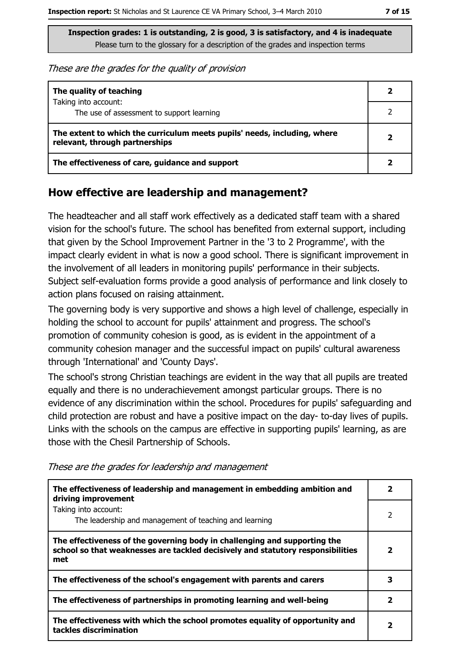These are the grades for the quality of provision

| The quality of teaching                                                                                    |  |
|------------------------------------------------------------------------------------------------------------|--|
| Taking into account:<br>The use of assessment to support learning                                          |  |
| The extent to which the curriculum meets pupils' needs, including, where<br>relevant, through partnerships |  |
| The effectiveness of care, guidance and support                                                            |  |

#### How effective are leadership and management?

The headteacher and all staff work effectively as a dedicated staff team with a shared vision for the school's future. The school has benefited from external support, including that given by the School Improvement Partner in the '3 to 2 Programme', with the impact clearly evident in what is now a good school. There is significant improvement in the involvement of all leaders in monitoring pupils' performance in their subjects. Subject self-evaluation forms provide a good analysis of performance and link closely to action plans focused on raising attainment.

The governing body is very supportive and shows a high level of challenge, especially in holding the school to account for pupils' attainment and progress. The school's promotion of community cohesion is good, as is evident in the appointment of a community cohesion manager and the successful impact on pupils' cultural awareness through 'International' and 'County Days'.

The school's strong Christian teachings are evident in the way that all pupils are treated equally and there is no underachievement amongst particular groups. There is no evidence of any discrimination within the school. Procedures for pupils' safeguarding and child protection are robust and have a positive impact on the day-to-day lives of pupils. Links with the schools on the campus are effective in supporting pupils' learning, as are those with the Chesil Partnership of Schools.

These are the grades for leadership and management

| The effectiveness of leadership and management in embedding ambition and<br>driving improvement                                                                     |   |
|---------------------------------------------------------------------------------------------------------------------------------------------------------------------|---|
| Taking into account:<br>The leadership and management of teaching and learning                                                                                      | 2 |
| The effectiveness of the governing body in challenging and supporting the<br>school so that weaknesses are tackled decisively and statutory responsibilities<br>met | 2 |
| The effectiveness of the school's engagement with parents and carers                                                                                                | З |
| The effectiveness of partnerships in promoting learning and well-being                                                                                              |   |
| The effectiveness with which the school promotes equality of opportunity and<br>tackles discrimination                                                              | 2 |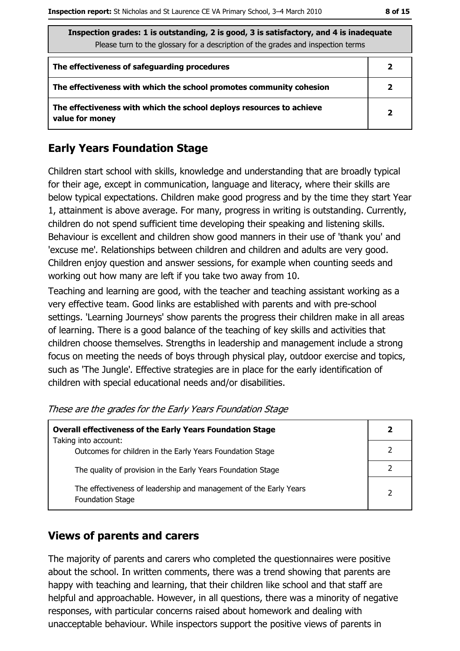| Inspection grades: 1 is outstanding, 2 is good, 3 is satisfactory, and 4 is inadequate<br>Please turn to the glossary for a description of the grades and inspection terms |              |  |
|----------------------------------------------------------------------------------------------------------------------------------------------------------------------------|--------------|--|
| The effectiveness of safeguarding procedures                                                                                                                               |              |  |
| The effectiveness with which the school promotes community cohesion                                                                                                        | 2            |  |
| The effectiveness with which the school deploys resources to achieve<br>value for money                                                                                    | $\mathbf{2}$ |  |

## **Early Years Foundation Stage**

Children start school with skills, knowledge and understanding that are broadly typical for their age, except in communication, language and literacy, where their skills are below typical expectations. Children make good progress and by the time they start Year 1, attainment is above average. For many, progress in writing is outstanding. Currently, children do not spend sufficient time developing their speaking and listening skills. Behaviour is excellent and children show good manners in their use of 'thank you' and 'excuse me'. Relationships between children and children and adults are very good. Children enjoy question and answer sessions, for example when counting seeds and working out how many are left if you take two away from 10.

Teaching and learning are good, with the teacher and teaching assistant working as a very effective team. Good links are established with parents and with pre-school settings. 'Learning Journeys' show parents the progress their children make in all areas of learning. There is a good balance of the teaching of key skills and activities that children choose themselves. Strengths in leadership and management include a strong focus on meeting the needs of boys through physical play, outdoor exercise and topics, such as 'The Jungle'. Effective strategies are in place for the early identification of children with special educational needs and/or disabilities.

| <b>Overall effectiveness of the Early Years Foundation Stage</b><br>Taking into account:     |   |
|----------------------------------------------------------------------------------------------|---|
| Outcomes for children in the Early Years Foundation Stage                                    |   |
| The quality of provision in the Early Years Foundation Stage                                 |   |
| The effectiveness of leadership and management of the Early Years<br><b>Foundation Stage</b> | າ |

These are the grades for the Early Years Foundation Stage

#### **Views of parents and carers**

The majority of parents and carers who completed the questionnaires were positive about the school. In written comments, there was a trend showing that parents are happy with teaching and learning, that their children like school and that staff are helpful and approachable. However, in all questions, there was a minority of negative responses, with particular concerns raised about homework and dealing with unacceptable behaviour. While inspectors support the positive views of parents in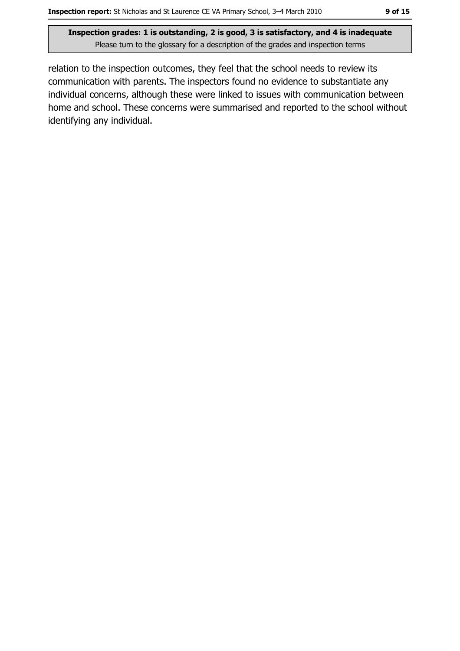relation to the inspection outcomes, they feel that the school needs to review its communication with parents. The inspectors found no evidence to substantiate any individual concerns, although these were linked to issues with communication between home and school. These concerns were summarised and reported to the school without identifying any individual.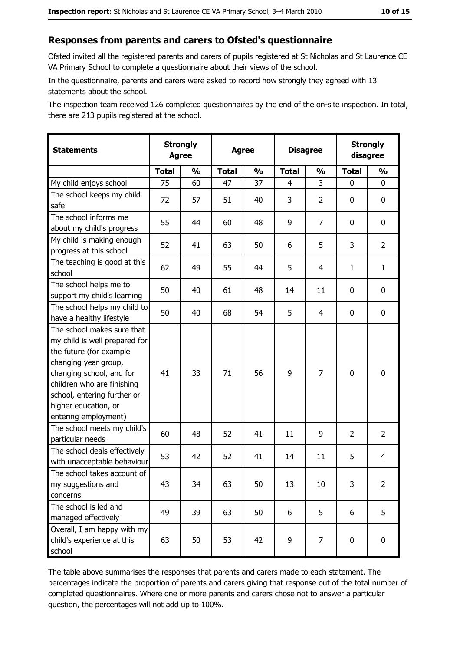#### Responses from parents and carers to Ofsted's questionnaire

Ofsted invited all the registered parents and carers of pupils registered at St Nicholas and St Laurence CE VA Primary School to complete a questionnaire about their views of the school.

In the questionnaire, parents and carers were asked to record how strongly they agreed with 13 statements about the school.

The inspection team received 126 completed questionnaires by the end of the on-site inspection. In total, there are 213 pupils registered at the school.

| <b>Statements</b>                                                                                                                                                                                                                                       |              | <b>Agree</b>  |              | <b>Strongly</b><br><b>Agree</b> |              | <b>Strongly</b><br><b>Disagree</b><br>disagree |                |                |  |  |
|---------------------------------------------------------------------------------------------------------------------------------------------------------------------------------------------------------------------------------------------------------|--------------|---------------|--------------|---------------------------------|--------------|------------------------------------------------|----------------|----------------|--|--|
|                                                                                                                                                                                                                                                         | <b>Total</b> | $\frac{1}{2}$ | <b>Total</b> | $\frac{1}{2}$                   | <b>Total</b> | $\frac{0}{0}$                                  | <b>Total</b>   | $\frac{1}{2}$  |  |  |
| My child enjoys school                                                                                                                                                                                                                                  | 75           | 60            | 47           | 37                              | 4            | 3                                              | 0              | $\mathbf 0$    |  |  |
| The school keeps my child<br>safe                                                                                                                                                                                                                       | 72           | 57            | 51           | 40                              | 3            | $\overline{2}$                                 | 0              | 0              |  |  |
| The school informs me<br>about my child's progress                                                                                                                                                                                                      | 55           | 44            | 60           | 48                              | 9            | 7                                              | $\mathbf{0}$   | 0              |  |  |
| My child is making enough<br>progress at this school                                                                                                                                                                                                    | 52           | 41            | 63           | 50                              | 6            | 5                                              | 3              | $\overline{2}$ |  |  |
| The teaching is good at this<br>school                                                                                                                                                                                                                  | 62           | 49            | 55           | 44                              | 5            | 4                                              | 1              | $\mathbf{1}$   |  |  |
| The school helps me to<br>support my child's learning                                                                                                                                                                                                   | 50           | 40            | 61           | 48                              | 14           | 11                                             | 0              | 0              |  |  |
| The school helps my child to<br>have a healthy lifestyle                                                                                                                                                                                                | 50           | 40            | 68           | 54                              | 5            | 4                                              | 0              | 0              |  |  |
| The school makes sure that<br>my child is well prepared for<br>the future (for example<br>changing year group,<br>changing school, and for<br>children who are finishing<br>school, entering further or<br>higher education, or<br>entering employment) | 41           | 33            | 71           | 56                              | 9            | 7                                              | $\mathbf 0$    | 0              |  |  |
| The school meets my child's<br>particular needs                                                                                                                                                                                                         | 60           | 48            | 52           | 41                              | 11           | 9                                              | $\overline{2}$ | $\overline{2}$ |  |  |
| The school deals effectively<br>with unacceptable behaviour                                                                                                                                                                                             | 53           | 42            | 52           | 41                              | 14           | 11                                             | 5              | 4              |  |  |
| The school takes account of<br>my suggestions and<br>concerns                                                                                                                                                                                           | 43           | 34            | 63           | 50                              | 13           | 10                                             | 3              | $\overline{2}$ |  |  |
| The school is led and<br>managed effectively                                                                                                                                                                                                            | 49           | 39            | 63           | 50                              | 6            | 5                                              | 6              | 5              |  |  |
| Overall, I am happy with my<br>child's experience at this<br>school                                                                                                                                                                                     | 63           | 50            | 53           | 42                              | 9            | 7                                              | $\mathbf 0$    | 0              |  |  |

The table above summarises the responses that parents and carers made to each statement. The percentages indicate the proportion of parents and carers giving that response out of the total number of completed questionnaires. Where one or more parents and carers chose not to answer a particular question, the percentages will not add up to 100%.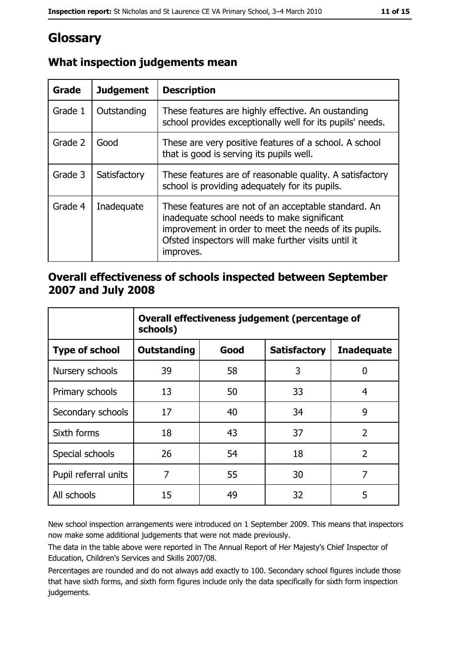# Glossary

| <b>Grade</b> | <b>Judgement</b> | <b>Description</b>                                                                                                                                                                                                               |
|--------------|------------------|----------------------------------------------------------------------------------------------------------------------------------------------------------------------------------------------------------------------------------|
| Grade 1      | Outstanding      | These features are highly effective. An oustanding<br>school provides exceptionally well for its pupils' needs.                                                                                                                  |
| Grade 2      | Good             | These are very positive features of a school. A school<br>that is good is serving its pupils well.                                                                                                                               |
| Grade 3      | Satisfactory     | These features are of reasonable quality. A satisfactory<br>school is providing adequately for its pupils.                                                                                                                       |
| Grade 4      | Inadequate       | These features are not of an acceptable standard. An<br>inadequate school needs to make significant<br>improvement in order to meet the needs of its pupils.<br>Ofsted inspectors will make further visits until it<br>improves. |

## What inspection judgements mean

## Overall effectiveness of schools inspected between September 2007 and July 2008

|                       | Overall effectiveness judgement (percentage of<br>schools) |      |                     |                   |  |
|-----------------------|------------------------------------------------------------|------|---------------------|-------------------|--|
| <b>Type of school</b> | Outstanding                                                | Good | <b>Satisfactory</b> | <b>Inadequate</b> |  |
| Nursery schools       | 39                                                         | 58   | 3                   | 0                 |  |
| Primary schools       | 13                                                         | 50   | 33                  | 4                 |  |
| Secondary schools     | 17                                                         | 40   | 34                  | 9                 |  |
| Sixth forms           | 18                                                         | 43   | 37                  | $\overline{2}$    |  |
| Special schools       | 26                                                         | 54   | 18                  | $\overline{2}$    |  |
| Pupil referral units  | 7                                                          | 55   | 30                  | 7                 |  |
| All schools           | 15                                                         | 49   | 32                  | 5                 |  |

New school inspection arrangements were introduced on 1 September 2009. This means that inspectors now make some additional judgements that were not made previously.

The data in the table above were reported in The Annual Report of Her Majesty's Chief Inspector of Education, Children's Services and Skills 2007/08.

Percentages are rounded and do not always add exactly to 100. Secondary school figures include those that have sixth forms, and sixth form figures include only the data specifically for sixth form inspection judgements.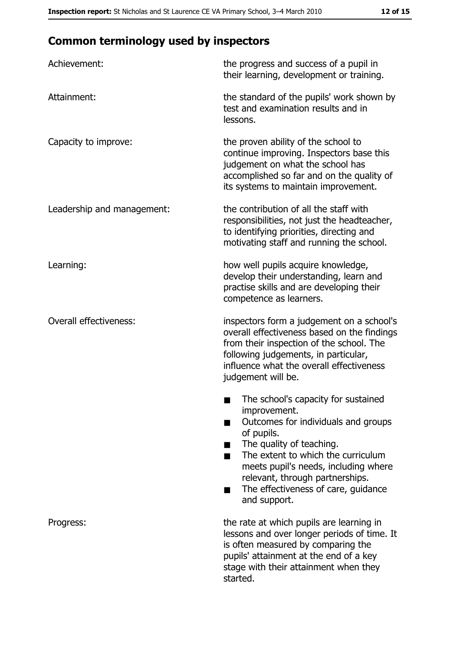# **Common terminology used by inspectors**

| Achievement:                  | the progress and success of a pupil in<br>their learning, development or training.                                                                                                                                                                                                                           |
|-------------------------------|--------------------------------------------------------------------------------------------------------------------------------------------------------------------------------------------------------------------------------------------------------------------------------------------------------------|
| Attainment:                   | the standard of the pupils' work shown by<br>test and examination results and in<br>lessons.                                                                                                                                                                                                                 |
| Capacity to improve:          | the proven ability of the school to<br>continue improving. Inspectors base this<br>judgement on what the school has<br>accomplished so far and on the quality of<br>its systems to maintain improvement.                                                                                                     |
| Leadership and management:    | the contribution of all the staff with<br>responsibilities, not just the headteacher,<br>to identifying priorities, directing and<br>motivating staff and running the school.                                                                                                                                |
| Learning:                     | how well pupils acquire knowledge,<br>develop their understanding, learn and<br>practise skills and are developing their<br>competence as learners.                                                                                                                                                          |
| <b>Overall effectiveness:</b> | inspectors form a judgement on a school's<br>overall effectiveness based on the findings<br>from their inspection of the school. The<br>following judgements, in particular,<br>influence what the overall effectiveness<br>judgement will be.                                                               |
|                               | The school's capacity for sustained<br>improvement.<br>Outcomes for individuals and groups<br>of pupils.<br>The quality of teaching.<br>The extent to which the curriculum<br>meets pupil's needs, including where<br>relevant, through partnerships.<br>The effectiveness of care, guidance<br>and support. |
| Progress:                     | the rate at which pupils are learning in<br>lessons and over longer periods of time. It<br>is often measured by comparing the<br>pupils' attainment at the end of a key<br>stage with their attainment when they<br>started.                                                                                 |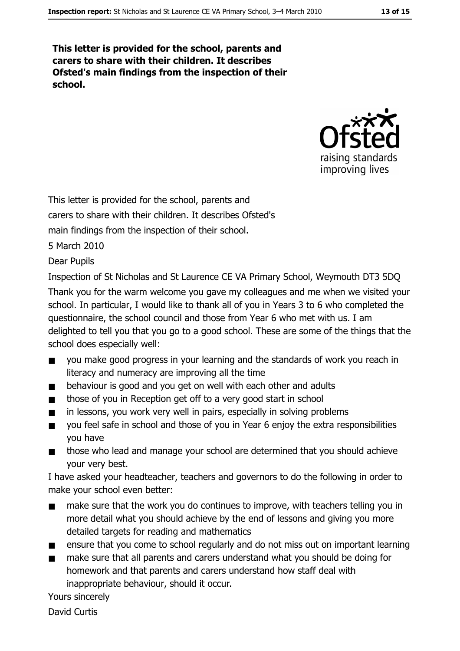This letter is provided for the school, parents and carers to share with their children. It describes Ofsted's main findings from the inspection of their school.



This letter is provided for the school, parents and

carers to share with their children. It describes Ofsted's

main findings from the inspection of their school.

5 March 2010

**Dear Pupils** 

Inspection of St Nicholas and St Laurence CE VA Primary School, Weymouth DT3 5DQ

Thank you for the warm welcome you gave my colleagues and me when we visited your school. In particular, I would like to thank all of you in Years 3 to 6 who completed the questionnaire, the school council and those from Year 6 who met with us. I am delighted to tell you that you go to a good school. These are some of the things that the school does especially well:

- you make good progress in your learning and the standards of work you reach in  $\blacksquare$ literacy and numeracy are improving all the time
- behaviour is good and you get on well with each other and adults  $\blacksquare$
- those of you in Reception get off to a very good start in school  $\blacksquare$
- in lessons, you work very well in pairs, especially in solving problems  $\blacksquare$
- you feel safe in school and those of you in Year 6 enjoy the extra responsibilities  $\blacksquare$ you have
- those who lead and manage your school are determined that you should achieve  $\blacksquare$ your very best.

I have asked your headteacher, teachers and governors to do the following in order to make your school even better:

- make sure that the work you do continues to improve, with teachers telling you in  $\blacksquare$ more detail what you should achieve by the end of lessons and giving you more detailed targets for reading and mathematics
- $\blacksquare$ ensure that you come to school regularly and do not miss out on important learning
- make sure that all parents and carers understand what you should be doing for homework and that parents and carers understand how staff deal with inappropriate behaviour, should it occur.

Yours sincerely

**David Curtis**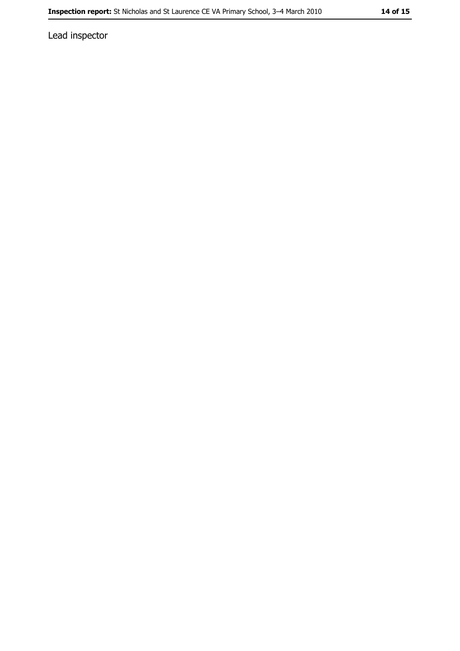Lead inspector